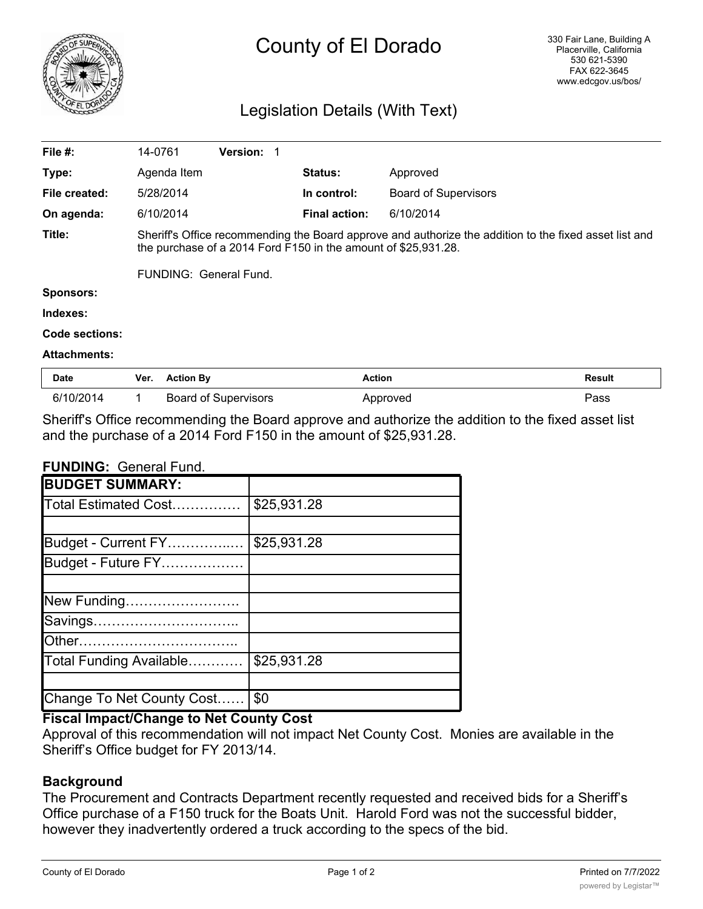

# County of El Dorado

## Legislation Details (With Text)

| File $#$ :          |                                                                                                                                                                          | 14-0761          | <b>Version:</b>             |                      |                             |        |
|---------------------|--------------------------------------------------------------------------------------------------------------------------------------------------------------------------|------------------|-----------------------------|----------------------|-----------------------------|--------|
| Type:               |                                                                                                                                                                          | Agenda Item      |                             | <b>Status:</b>       | Approved                    |        |
| File created:       |                                                                                                                                                                          | 5/28/2014        |                             | In control:          | <b>Board of Supervisors</b> |        |
| On agenda:          |                                                                                                                                                                          | 6/10/2014        |                             | <b>Final action:</b> | 6/10/2014                   |        |
| Title:              | Sheriff's Office recommending the Board approve and authorize the addition to the fixed asset list and<br>the purchase of a 2014 Ford F150 in the amount of \$25,931.28. |                  |                             |                      |                             |        |
|                     | FUNDING: General Fund.                                                                                                                                                   |                  |                             |                      |                             |        |
| <b>Sponsors:</b>    |                                                                                                                                                                          |                  |                             |                      |                             |        |
| Indexes:            |                                                                                                                                                                          |                  |                             |                      |                             |        |
| Code sections:      |                                                                                                                                                                          |                  |                             |                      |                             |        |
| <b>Attachments:</b> |                                                                                                                                                                          |                  |                             |                      |                             |        |
| <b>Date</b>         | Ver.                                                                                                                                                                     | <b>Action By</b> |                             | <b>Action</b>        |                             | Result |
| 6/10/2014           |                                                                                                                                                                          |                  | <b>Board of Supervisors</b> |                      | Approved                    | Pass   |

Sheriff's Office recommending the Board approve and authorize the addition to the fixed asset list and the purchase of a 2014 Ford F150 in the amount of \$25,931.28.

#### **FUNDING:** General Fund.

| <b>BUDGET SUMMARY:</b>     |             |
|----------------------------|-------------|
| Total Estimated Cost       | \$25,931.28 |
|                            |             |
| Budget - Current FY        | \$25,931.28 |
| Budget - Future FY         |             |
|                            |             |
| New Funding                |             |
| Savings                    |             |
|                            |             |
| Total Funding Available    | \$25,931.28 |
|                            |             |
| Change To Net County Cost. | \$0         |

### **Fiscal Impact/Change to Net County Cost**

Approval of this recommendation will not impact Net County Cost. Monies are available in the Sheriff's Office budget for FY 2013/14.

#### **Background**

The Procurement and Contracts Department recently requested and received bids for a Sheriff's Office purchase of a F150 truck for the Boats Unit. Harold Ford was not the successful bidder, however they inadvertently ordered a truck according to the specs of the bid.